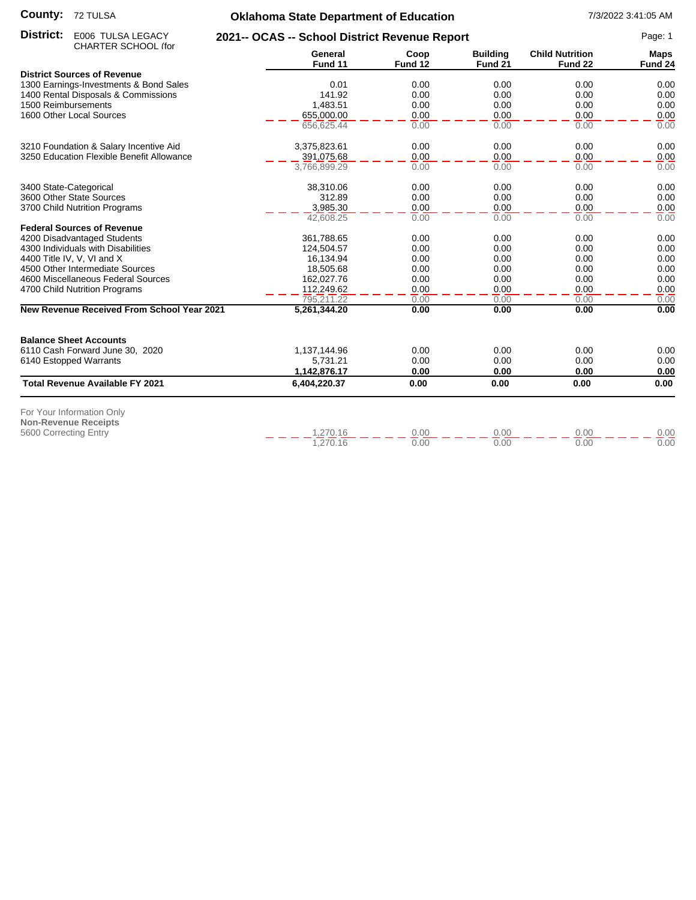#### **County:** 72 TULSA

# **Oklahoma State Department of Education** 7/3/2022 3:41:05 AM

| General<br>Coop<br><b>Child Nutrition</b><br><b>Building</b><br><b>Maps</b><br>Fund 11<br>Fund 12<br>Fund 21<br>Fund 22<br>Fund 24<br><b>District Sources of Revenue</b><br>0.00<br>1300 Earnings-Investments & Bond Sales<br>0.01<br>0.00<br>0.00<br>0.00<br>0.00<br>1400 Rental Disposals & Commissions<br>141.92<br>0.00<br>0.00<br>0.00<br>1500 Reimbursements<br>1,483.51<br>0.00<br>0.00<br>0.00<br>0.00<br>0.00<br>0.00<br>1600 Other Local Sources<br>655,000.00<br>0.00<br>0.00<br>656,625.44<br>0.00<br>0.00<br>0.00<br>0.00<br>3210 Foundation & Salary Incentive Aid<br>3,375,823.61<br>0.00<br>0.00<br>0.00<br>0.00<br>3250 Education Flexible Benefit Allowance<br>0.00<br>0.00<br>0.00<br>391,075.68<br>0.00<br>0.00<br>0.00<br>0.00<br>0.00<br>3,766,899.29<br>38,310.06<br>0.00<br>0.00<br>0.00<br>0.00<br>3400 State-Categorical<br>3600 Other State Sources<br>312.89<br>0.00<br>0.00<br>0.00<br>0.00<br>3,985.30<br>0.00<br>0.00<br>0.00<br>0.00<br>3700 Child Nutrition Programs<br>0.00<br>42,608.25<br>0.00<br>0.00<br>0.00<br><b>Federal Sources of Revenue</b><br>0.00<br>4200 Disadvantaged Students<br>361,788.65<br>0.00<br>0.00<br>0.00<br>4300 Individuals with Disabilities<br>0.00<br>0.00<br>0.00<br>0.00<br>124,504.57<br>0.00<br>0.00<br>4400 Title IV, V, VI and X<br>16,134.94<br>0.00<br>0.00<br>4500 Other Intermediate Sources<br>0.00<br>0.00<br>0.00<br>18,505.68<br>0.00<br>162,027.76<br>0.00<br>4600 Miscellaneous Federal Sources<br>0.00<br>0.00<br>0.00<br>0.00<br>0.00<br>0.00<br>0.00<br>4700 Child Nutrition Programs<br>112,249.62<br>795,211.22<br>0.00<br>0.00<br>0.00<br>0.00<br><b>New Revenue Received From School Year 2021</b><br>0.00<br>0.00<br>0.00<br>0.00<br>5,261,344.20<br><b>Balance Sheet Accounts</b><br>6110 Cash Forward June 30, 2020<br>0.00<br>0.00<br>0.00<br>0.00<br>1,137,144.96<br>0.00<br>0.00<br>0.00<br>0.00<br>6140 Estopped Warrants<br>5,731.21<br>0.00<br>0.00<br>1,142,876.17<br>0.00<br>0.00<br><b>Total Revenue Available FY 2021</b><br>0.00<br>0.00<br>0.00<br>0.00<br>6,404,220.37<br>For Your Information Only<br><b>Non-Revenue Receipts</b><br>1,270.16<br>0.00<br>0.00<br>0.00<br>5600 Correcting Entry<br>0.00<br>1,270.16<br>0.00<br>0.00<br>0.00<br>0.00 | District:<br>E006 TULSA LEGACY | 2021-- OCAS -- School District Revenue Report |  |  |  | Page: 1 |
|------------------------------------------------------------------------------------------------------------------------------------------------------------------------------------------------------------------------------------------------------------------------------------------------------------------------------------------------------------------------------------------------------------------------------------------------------------------------------------------------------------------------------------------------------------------------------------------------------------------------------------------------------------------------------------------------------------------------------------------------------------------------------------------------------------------------------------------------------------------------------------------------------------------------------------------------------------------------------------------------------------------------------------------------------------------------------------------------------------------------------------------------------------------------------------------------------------------------------------------------------------------------------------------------------------------------------------------------------------------------------------------------------------------------------------------------------------------------------------------------------------------------------------------------------------------------------------------------------------------------------------------------------------------------------------------------------------------------------------------------------------------------------------------------------------------------------------------------------------------------------------------------------------------------------------------------------------------------------------------------------------------------------------------------------------------------------------------------------------------------------------------------------------------------------------------------------------------------------------------------------------|--------------------------------|-----------------------------------------------|--|--|--|---------|
|                                                                                                                                                                                                                                                                                                                                                                                                                                                                                                                                                                                                                                                                                                                                                                                                                                                                                                                                                                                                                                                                                                                                                                                                                                                                                                                                                                                                                                                                                                                                                                                                                                                                                                                                                                                                                                                                                                                                                                                                                                                                                                                                                                                                                                                            | CHARTER SCHOOL (for            |                                               |  |  |  |         |
|                                                                                                                                                                                                                                                                                                                                                                                                                                                                                                                                                                                                                                                                                                                                                                                                                                                                                                                                                                                                                                                                                                                                                                                                                                                                                                                                                                                                                                                                                                                                                                                                                                                                                                                                                                                                                                                                                                                                                                                                                                                                                                                                                                                                                                                            |                                |                                               |  |  |  |         |
|                                                                                                                                                                                                                                                                                                                                                                                                                                                                                                                                                                                                                                                                                                                                                                                                                                                                                                                                                                                                                                                                                                                                                                                                                                                                                                                                                                                                                                                                                                                                                                                                                                                                                                                                                                                                                                                                                                                                                                                                                                                                                                                                                                                                                                                            |                                |                                               |  |  |  |         |
|                                                                                                                                                                                                                                                                                                                                                                                                                                                                                                                                                                                                                                                                                                                                                                                                                                                                                                                                                                                                                                                                                                                                                                                                                                                                                                                                                                                                                                                                                                                                                                                                                                                                                                                                                                                                                                                                                                                                                                                                                                                                                                                                                                                                                                                            |                                |                                               |  |  |  |         |
|                                                                                                                                                                                                                                                                                                                                                                                                                                                                                                                                                                                                                                                                                                                                                                                                                                                                                                                                                                                                                                                                                                                                                                                                                                                                                                                                                                                                                                                                                                                                                                                                                                                                                                                                                                                                                                                                                                                                                                                                                                                                                                                                                                                                                                                            |                                |                                               |  |  |  |         |
|                                                                                                                                                                                                                                                                                                                                                                                                                                                                                                                                                                                                                                                                                                                                                                                                                                                                                                                                                                                                                                                                                                                                                                                                                                                                                                                                                                                                                                                                                                                                                                                                                                                                                                                                                                                                                                                                                                                                                                                                                                                                                                                                                                                                                                                            |                                |                                               |  |  |  |         |
|                                                                                                                                                                                                                                                                                                                                                                                                                                                                                                                                                                                                                                                                                                                                                                                                                                                                                                                                                                                                                                                                                                                                                                                                                                                                                                                                                                                                                                                                                                                                                                                                                                                                                                                                                                                                                                                                                                                                                                                                                                                                                                                                                                                                                                                            |                                |                                               |  |  |  |         |
|                                                                                                                                                                                                                                                                                                                                                                                                                                                                                                                                                                                                                                                                                                                                                                                                                                                                                                                                                                                                                                                                                                                                                                                                                                                                                                                                                                                                                                                                                                                                                                                                                                                                                                                                                                                                                                                                                                                                                                                                                                                                                                                                                                                                                                                            |                                |                                               |  |  |  |         |
|                                                                                                                                                                                                                                                                                                                                                                                                                                                                                                                                                                                                                                                                                                                                                                                                                                                                                                                                                                                                                                                                                                                                                                                                                                                                                                                                                                                                                                                                                                                                                                                                                                                                                                                                                                                                                                                                                                                                                                                                                                                                                                                                                                                                                                                            |                                |                                               |  |  |  |         |
|                                                                                                                                                                                                                                                                                                                                                                                                                                                                                                                                                                                                                                                                                                                                                                                                                                                                                                                                                                                                                                                                                                                                                                                                                                                                                                                                                                                                                                                                                                                                                                                                                                                                                                                                                                                                                                                                                                                                                                                                                                                                                                                                                                                                                                                            |                                |                                               |  |  |  |         |
|                                                                                                                                                                                                                                                                                                                                                                                                                                                                                                                                                                                                                                                                                                                                                                                                                                                                                                                                                                                                                                                                                                                                                                                                                                                                                                                                                                                                                                                                                                                                                                                                                                                                                                                                                                                                                                                                                                                                                                                                                                                                                                                                                                                                                                                            |                                |                                               |  |  |  |         |
|                                                                                                                                                                                                                                                                                                                                                                                                                                                                                                                                                                                                                                                                                                                                                                                                                                                                                                                                                                                                                                                                                                                                                                                                                                                                                                                                                                                                                                                                                                                                                                                                                                                                                                                                                                                                                                                                                                                                                                                                                                                                                                                                                                                                                                                            |                                |                                               |  |  |  |         |
|                                                                                                                                                                                                                                                                                                                                                                                                                                                                                                                                                                                                                                                                                                                                                                                                                                                                                                                                                                                                                                                                                                                                                                                                                                                                                                                                                                                                                                                                                                                                                                                                                                                                                                                                                                                                                                                                                                                                                                                                                                                                                                                                                                                                                                                            |                                |                                               |  |  |  |         |
|                                                                                                                                                                                                                                                                                                                                                                                                                                                                                                                                                                                                                                                                                                                                                                                                                                                                                                                                                                                                                                                                                                                                                                                                                                                                                                                                                                                                                                                                                                                                                                                                                                                                                                                                                                                                                                                                                                                                                                                                                                                                                                                                                                                                                                                            |                                |                                               |  |  |  |         |
|                                                                                                                                                                                                                                                                                                                                                                                                                                                                                                                                                                                                                                                                                                                                                                                                                                                                                                                                                                                                                                                                                                                                                                                                                                                                                                                                                                                                                                                                                                                                                                                                                                                                                                                                                                                                                                                                                                                                                                                                                                                                                                                                                                                                                                                            |                                |                                               |  |  |  |         |
|                                                                                                                                                                                                                                                                                                                                                                                                                                                                                                                                                                                                                                                                                                                                                                                                                                                                                                                                                                                                                                                                                                                                                                                                                                                                                                                                                                                                                                                                                                                                                                                                                                                                                                                                                                                                                                                                                                                                                                                                                                                                                                                                                                                                                                                            |                                |                                               |  |  |  |         |
|                                                                                                                                                                                                                                                                                                                                                                                                                                                                                                                                                                                                                                                                                                                                                                                                                                                                                                                                                                                                                                                                                                                                                                                                                                                                                                                                                                                                                                                                                                                                                                                                                                                                                                                                                                                                                                                                                                                                                                                                                                                                                                                                                                                                                                                            |                                |                                               |  |  |  |         |
|                                                                                                                                                                                                                                                                                                                                                                                                                                                                                                                                                                                                                                                                                                                                                                                                                                                                                                                                                                                                                                                                                                                                                                                                                                                                                                                                                                                                                                                                                                                                                                                                                                                                                                                                                                                                                                                                                                                                                                                                                                                                                                                                                                                                                                                            |                                |                                               |  |  |  |         |
|                                                                                                                                                                                                                                                                                                                                                                                                                                                                                                                                                                                                                                                                                                                                                                                                                                                                                                                                                                                                                                                                                                                                                                                                                                                                                                                                                                                                                                                                                                                                                                                                                                                                                                                                                                                                                                                                                                                                                                                                                                                                                                                                                                                                                                                            |                                |                                               |  |  |  |         |
|                                                                                                                                                                                                                                                                                                                                                                                                                                                                                                                                                                                                                                                                                                                                                                                                                                                                                                                                                                                                                                                                                                                                                                                                                                                                                                                                                                                                                                                                                                                                                                                                                                                                                                                                                                                                                                                                                                                                                                                                                                                                                                                                                                                                                                                            |                                |                                               |  |  |  |         |
|                                                                                                                                                                                                                                                                                                                                                                                                                                                                                                                                                                                                                                                                                                                                                                                                                                                                                                                                                                                                                                                                                                                                                                                                                                                                                                                                                                                                                                                                                                                                                                                                                                                                                                                                                                                                                                                                                                                                                                                                                                                                                                                                                                                                                                                            |                                |                                               |  |  |  |         |
|                                                                                                                                                                                                                                                                                                                                                                                                                                                                                                                                                                                                                                                                                                                                                                                                                                                                                                                                                                                                                                                                                                                                                                                                                                                                                                                                                                                                                                                                                                                                                                                                                                                                                                                                                                                                                                                                                                                                                                                                                                                                                                                                                                                                                                                            |                                |                                               |  |  |  |         |
|                                                                                                                                                                                                                                                                                                                                                                                                                                                                                                                                                                                                                                                                                                                                                                                                                                                                                                                                                                                                                                                                                                                                                                                                                                                                                                                                                                                                                                                                                                                                                                                                                                                                                                                                                                                                                                                                                                                                                                                                                                                                                                                                                                                                                                                            |                                |                                               |  |  |  |         |
|                                                                                                                                                                                                                                                                                                                                                                                                                                                                                                                                                                                                                                                                                                                                                                                                                                                                                                                                                                                                                                                                                                                                                                                                                                                                                                                                                                                                                                                                                                                                                                                                                                                                                                                                                                                                                                                                                                                                                                                                                                                                                                                                                                                                                                                            |                                |                                               |  |  |  |         |
|                                                                                                                                                                                                                                                                                                                                                                                                                                                                                                                                                                                                                                                                                                                                                                                                                                                                                                                                                                                                                                                                                                                                                                                                                                                                                                                                                                                                                                                                                                                                                                                                                                                                                                                                                                                                                                                                                                                                                                                                                                                                                                                                                                                                                                                            |                                |                                               |  |  |  |         |
|                                                                                                                                                                                                                                                                                                                                                                                                                                                                                                                                                                                                                                                                                                                                                                                                                                                                                                                                                                                                                                                                                                                                                                                                                                                                                                                                                                                                                                                                                                                                                                                                                                                                                                                                                                                                                                                                                                                                                                                                                                                                                                                                                                                                                                                            |                                |                                               |  |  |  |         |
|                                                                                                                                                                                                                                                                                                                                                                                                                                                                                                                                                                                                                                                                                                                                                                                                                                                                                                                                                                                                                                                                                                                                                                                                                                                                                                                                                                                                                                                                                                                                                                                                                                                                                                                                                                                                                                                                                                                                                                                                                                                                                                                                                                                                                                                            |                                |                                               |  |  |  |         |
|                                                                                                                                                                                                                                                                                                                                                                                                                                                                                                                                                                                                                                                                                                                                                                                                                                                                                                                                                                                                                                                                                                                                                                                                                                                                                                                                                                                                                                                                                                                                                                                                                                                                                                                                                                                                                                                                                                                                                                                                                                                                                                                                                                                                                                                            |                                |                                               |  |  |  |         |
|                                                                                                                                                                                                                                                                                                                                                                                                                                                                                                                                                                                                                                                                                                                                                                                                                                                                                                                                                                                                                                                                                                                                                                                                                                                                                                                                                                                                                                                                                                                                                                                                                                                                                                                                                                                                                                                                                                                                                                                                                                                                                                                                                                                                                                                            |                                |                                               |  |  |  |         |
|                                                                                                                                                                                                                                                                                                                                                                                                                                                                                                                                                                                                                                                                                                                                                                                                                                                                                                                                                                                                                                                                                                                                                                                                                                                                                                                                                                                                                                                                                                                                                                                                                                                                                                                                                                                                                                                                                                                                                                                                                                                                                                                                                                                                                                                            |                                |                                               |  |  |  |         |
|                                                                                                                                                                                                                                                                                                                                                                                                                                                                                                                                                                                                                                                                                                                                                                                                                                                                                                                                                                                                                                                                                                                                                                                                                                                                                                                                                                                                                                                                                                                                                                                                                                                                                                                                                                                                                                                                                                                                                                                                                                                                                                                                                                                                                                                            |                                |                                               |  |  |  |         |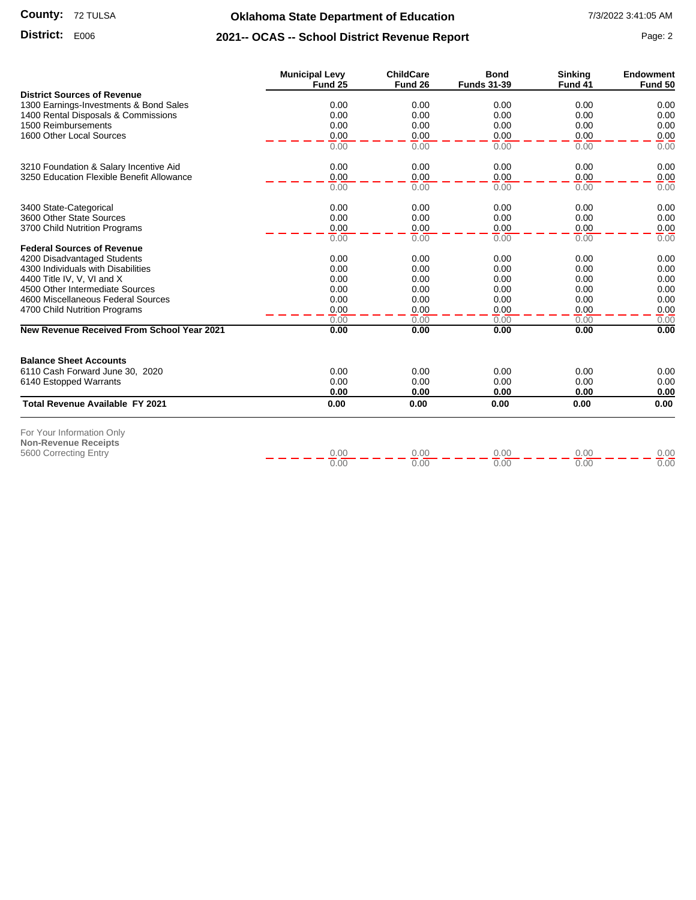### **Oklahoma State Department of Education** 7/3/2022 3:41:05 AM

## **District:** E006 **Page: 2 2021-- OCAS -- School District Revenue Report** Page: 2

|                                                                  | <b>Municipal Levy</b><br>Fund 25 | <b>ChildCare</b><br>Fund 26 | <b>Bond</b><br><b>Funds 31-39</b> | <b>Sinking</b><br>Fund 41 | <b>Endowment</b><br>Fund 50 |
|------------------------------------------------------------------|----------------------------------|-----------------------------|-----------------------------------|---------------------------|-----------------------------|
| <b>District Sources of Revenue</b>                               |                                  |                             |                                   |                           |                             |
| 1300 Earnings-Investments & Bond Sales                           | 0.00                             | 0.00                        | 0.00                              | 0.00                      | 0.00                        |
| 1400 Rental Disposals & Commissions                              | 0.00                             | 0.00                        | 0.00                              | 0.00                      | 0.00                        |
| 1500 Reimbursements                                              | 0.00                             | 0.00                        | 0.00                              | 0.00                      | 0.00                        |
| 1600 Other Local Sources                                         | 0.00                             | 0.00                        | 0.00                              | 0.00                      | 0.00                        |
|                                                                  | 0.00                             | 0.00                        | 0.00                              | 0.00                      | 0.00                        |
| 3210 Foundation & Salary Incentive Aid                           | 0.00                             | 0.00                        | 0.00                              | 0.00                      | 0.00                        |
| 3250 Education Flexible Benefit Allowance                        | 0.00                             | 0.00                        | 0.00                              | 0.00                      | 0.00                        |
|                                                                  | 0.00                             | 0.00                        | 0.00                              | 0.00                      | 0.00                        |
| 3400 State-Categorical                                           | 0.00                             | 0.00                        | 0.00                              | 0.00                      | 0.00                        |
| 3600 Other State Sources                                         | 0.00                             | 0.00                        | 0.00                              | 0.00                      | 0.00                        |
| 3700 Child Nutrition Programs                                    | 0.00                             | 0.00                        | 0.00                              | 0.00                      | 0.00                        |
|                                                                  | 0.00                             | 0.00                        | 0.00                              | 0.00                      | 0.00                        |
| <b>Federal Sources of Revenue</b><br>4200 Disadvantaged Students | 0.00                             | 0.00                        | 0.00                              | 0.00                      | 0.00                        |
| 4300 Individuals with Disabilities                               | 0.00                             | 0.00                        | 0.00                              | 0.00                      | 0.00                        |
| 4400 Title IV, V, VI and X                                       | 0.00                             | 0.00                        | 0.00                              | 0.00                      | 0.00                        |
| 4500 Other Intermediate Sources                                  | 0.00                             | 0.00                        | 0.00                              | 0.00                      | 0.00                        |
| 4600 Miscellaneous Federal Sources                               | 0.00                             | 0.00                        | 0.00                              | 0.00                      | 0.00                        |
| 4700 Child Nutrition Programs                                    | 0.00                             | 0.00                        | 0.00                              | 0.00                      | 0.00                        |
|                                                                  | 0.00                             | 0.00                        | 0.00                              | 0.00                      | 0.00                        |
| <b>New Revenue Received From School Year 2021</b>                | 0.00                             | 0.00                        | 0.00                              | 0.00                      | 0.00                        |
| <b>Balance Sheet Accounts</b>                                    |                                  |                             |                                   |                           |                             |
| 6110 Cash Forward June 30, 2020                                  | 0.00                             | 0.00                        | 0.00                              | 0.00                      | 0.00                        |
| 6140 Estopped Warrants                                           | 0.00                             | 0.00                        | 0.00                              | 0.00                      | 0.00                        |
|                                                                  | 0.00                             | 0.00                        | 0.00                              | 0.00                      | 0.00                        |
| <b>Total Revenue Available FY 2021</b>                           | 0.00                             | 0.00                        | 0.00                              | 0.00                      | 0.00                        |
| For Your Information Only                                        |                                  |                             |                                   |                           |                             |
| <b>Non-Revenue Receipts</b>                                      |                                  |                             |                                   |                           |                             |
| 5600 Correcting Entry                                            | 0.00                             | 0.00                        | 0.00                              | 0.00                      | 0.00                        |
|                                                                  | 0.00                             | 0.00                        | 0.00                              | 0.00                      | 0.00                        |
|                                                                  |                                  |                             |                                   |                           |                             |